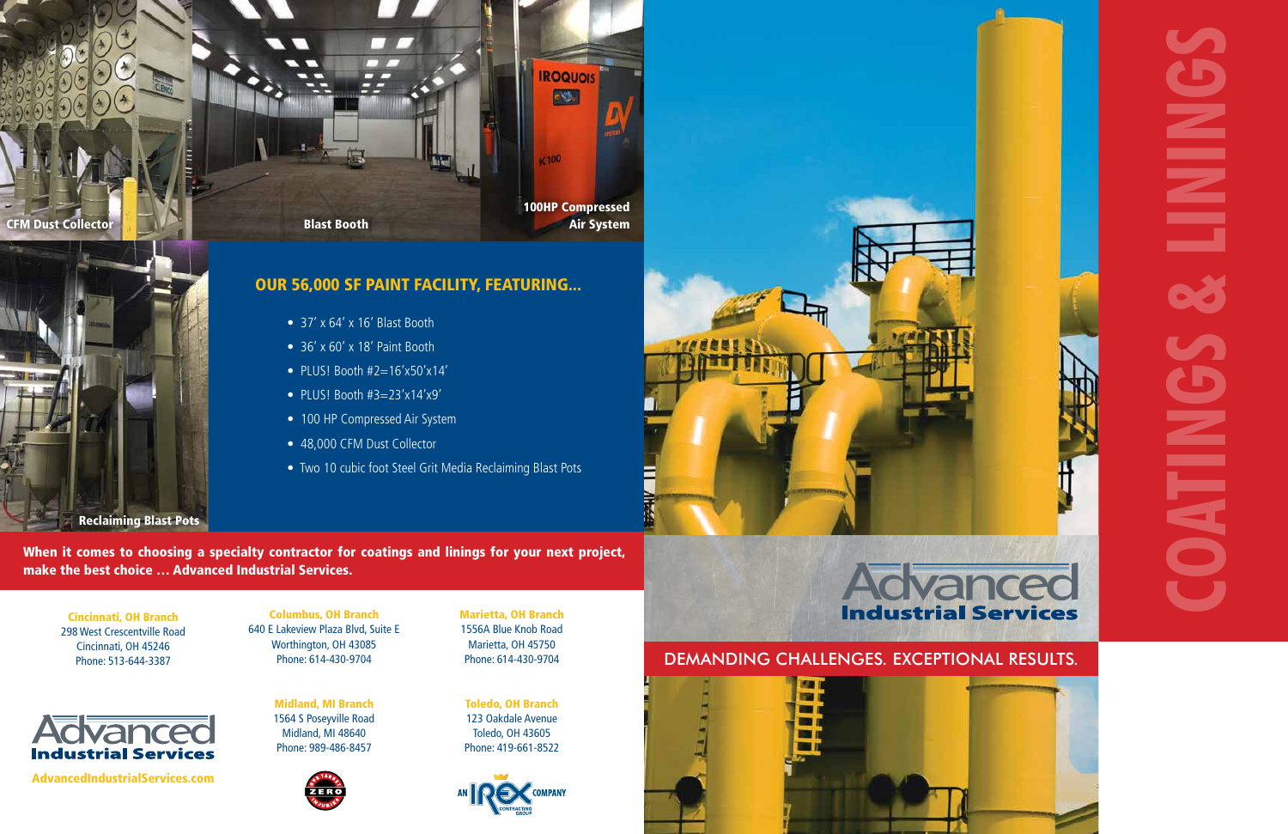Midland, MI Branch 1564 S Poseyville Road Midland, MI 48640 Phone: 989-486-8457



Toledo, OH Branch 123 Oakdale Avenue Toledo, OH 43605 Phone: 419-661-8522







AdvancedIndustrialServices.com

- 37' x 64' x 16' Blast Booth
- 36' x 60' x 18' Paint Booth
- PLUS! Booth  $#2=16'x50'x14'$
- PLUS! Booth  $#3=23'x14'x9'$
- 100 HP Compressed Air System
- 48,000 CFM Dust Collector
- Two 10 cubic foot Steel Grit Media Reclaiming Blast Pots



Reclaiming Blast Pots



## OUR 56,000 SF PAINT FACILITY, FEATURING...

When it comes to choosing a specialty contractor for coatings and linings for your next project, make the best choice … Advanced Industrial Services.

# DEMANDING CHALLENGES. EXCEPTIONAL RESULTS.





Columbus, OH Branch 640 E Lakeview Plaza Blvd, Suite E Worthington, OH 43085 Phone: 614-430-9704

Cincinnati, OH Branch 298 West Crescentville Road Cincinnati, OH 45246 Phone: 513-644-3387

Marietta, OH Branch 1556A Blue Knob Road Marietta, OH 45750 Phone: 614-430-9704